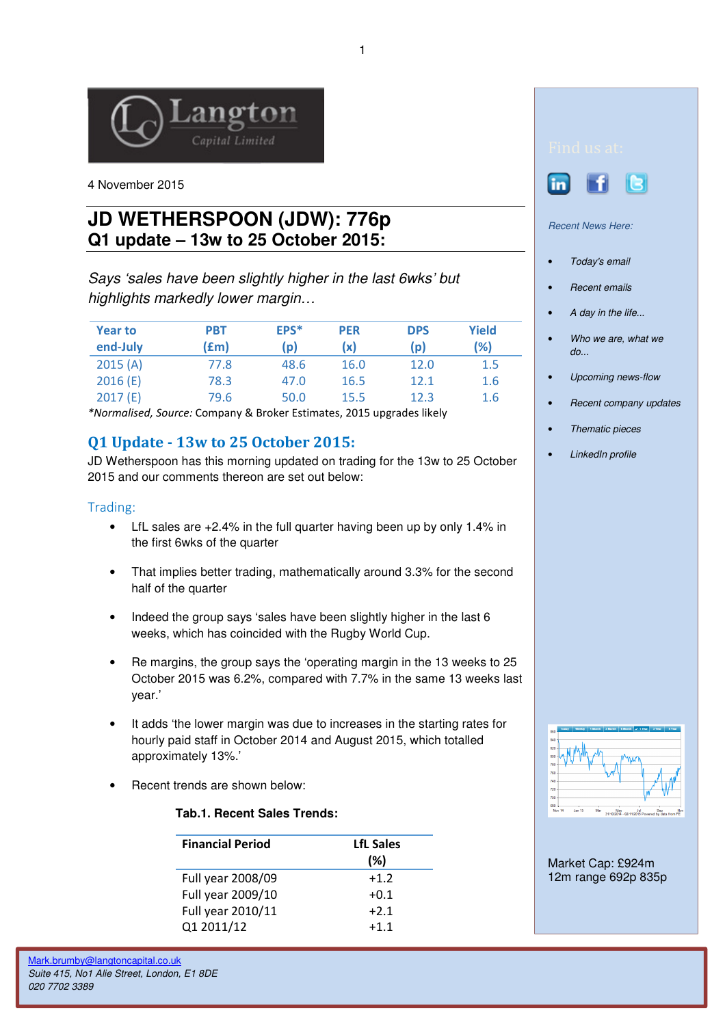

4 November 2015

# **JD WETHERSPOON (JDW): 776p Q1 update – 13w to 25 October 2015:**

Says 'sales have been slightly higher in the last 6wks' but highlights markedly lower margin…

| <b>Year to</b> | PBT  | EPS* | <b>PER</b> | <b>DPS</b> | <b>Yield</b> |
|----------------|------|------|------------|------------|--------------|
| end-July       | f(m) | (p)  | (x)        | (p)        | (%)          |
| 2015(A)        | 77.8 | 48.6 | 16.0       | 12.0       | 1.5          |
| 2016(E)        | 78.3 | 47.0 | 16.5       | 12.1       | 1.6          |
| 2017(E)        | 79.6 | 50.0 | 15.5       | 12.3       | 1.6          |

\*Normalised, Source: Company & Broker Estimates, 2015 upgrades likely

## Q1 Update - 13w to 25 October 2015:

JD Wetherspoon has this morning updated on trading for the 13w to 25 October 2015 and our comments thereon are set out below:

#### Trading:

- LfL sales are +2.4% in the full quarter having been up by only 1.4% in the first 6wks of the quarter
- That implies better trading, mathematically around 3.3% for the second half of the quarter
- Indeed the group says 'sales have been slightly higher in the last 6 weeks, which has coincided with the Rugby World Cup.
- Re margins, the group says the 'operating margin in the 13 weeks to 25 October 2015 was 6.2%, compared with 7.7% in the same 13 weeks last year.'
- It adds 'the lower margin was due to increases in the starting rates for hourly paid staff in October 2014 and August 2015, which totalled approximately 13%.'
- Recent trends are shown below:

#### **Tab.1. Recent Sales Trends:**

| <b>Financial Period</b> | <b>LfL Sales</b><br>(%) |
|-------------------------|-------------------------|
| Full year 2008/09       | $+1.2$                  |
| Full year 2009/10       | $+0.1$                  |
| Full year 2010/11       | $+2.1$                  |
| Q1 2011/12              | $+1.1$                  |





Recent News Here:

- Today's email
- Recent emails
- A day in the life...
- Who we are, what we do...
- Upcoming news-flow
- Recent company updates
- Thematic pieces
- LinkedIn profile



Market Cap: £924m 12m range 692p 835p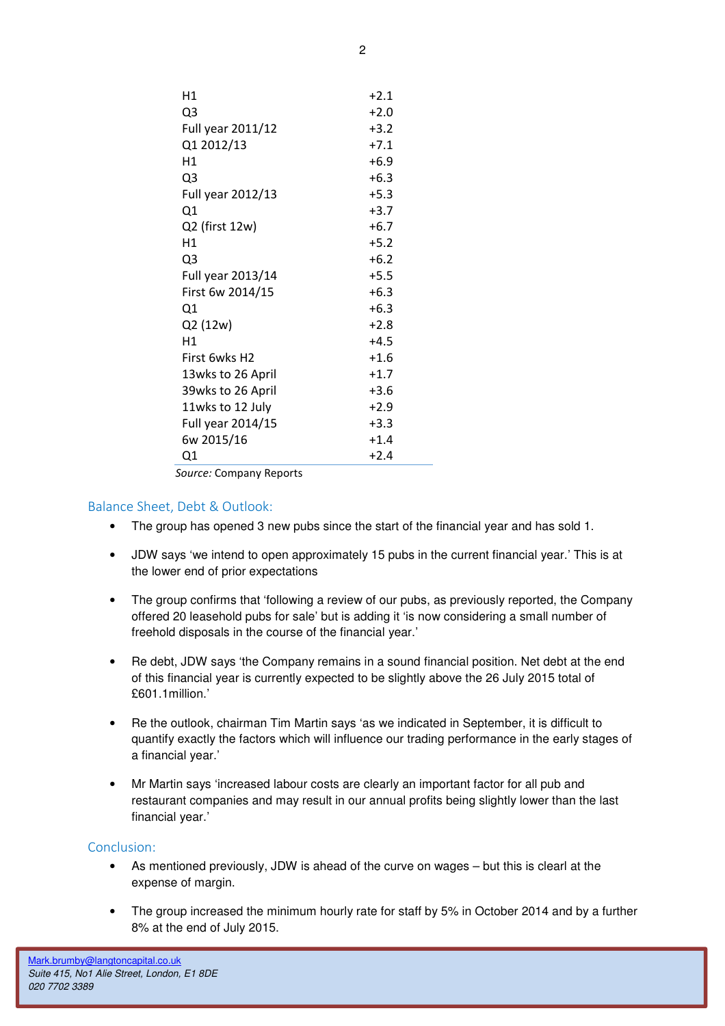| H1                        | $+2.1$ |
|---------------------------|--------|
| Q3                        | $+2.0$ |
| Full year 2011/12         | $+3.2$ |
| Q1 2012/13                | $+7.1$ |
| H1                        | $+6.9$ |
| Q3                        | $+6.3$ |
| Full year 2012/13         | $+5.3$ |
| Q1                        | $+3.7$ |
| Q2 (first 12w)            | $+6.7$ |
| H1                        | $+5.2$ |
| Q3                        | $+6.2$ |
| Full year 2013/14         | $+5.5$ |
| First 6w 2014/15          | $+6.3$ |
| Q1                        | $+6.3$ |
| Q2 (12w)                  | $+2.8$ |
| H1                        | $+4.5$ |
| First 6wks H <sub>2</sub> | $+1.6$ |
| 13wks to 26 April         | $+1.7$ |
| 39wks to 26 April         | $+3.6$ |
| 11wks to 12 July          | $+2.9$ |
| Full year 2014/15         | $+3.3$ |
| 6w 2015/16                | $+1.4$ |
| Q1                        | $+2.4$ |
|                           |        |

Source: Company Reports

### Balance Sheet, Debt & Outlook:

- The group has opened 3 new pubs since the start of the financial year and has sold 1.
- JDW says 'we intend to open approximately 15 pubs in the current financial year.' This is at the lower end of prior expectations
- The group confirms that 'following a review of our pubs, as previously reported, the Company offered 20 leasehold pubs for sale' but is adding it 'is now considering a small number of freehold disposals in the course of the financial year.'
- Re debt, JDW says 'the Company remains in a sound financial position. Net debt at the end of this financial year is currently expected to be slightly above the 26 July 2015 total of £601.1million.'
- Re the outlook, chairman Tim Martin says 'as we indicated in September, it is difficult to quantify exactly the factors which will influence our trading performance in the early stages of a financial year.'
- Mr Martin says 'increased labour costs are clearly an important factor for all pub and restaurant companies and may result in our annual profits being slightly lower than the last financial year.'

### Conclusion:

- As mentioned previously, JDW is ahead of the curve on wages but this is clearl at the expense of margin.
- The group increased the minimum hourly rate for staff by 5% in October 2014 and by a further 8% at the end of July 2015.

2